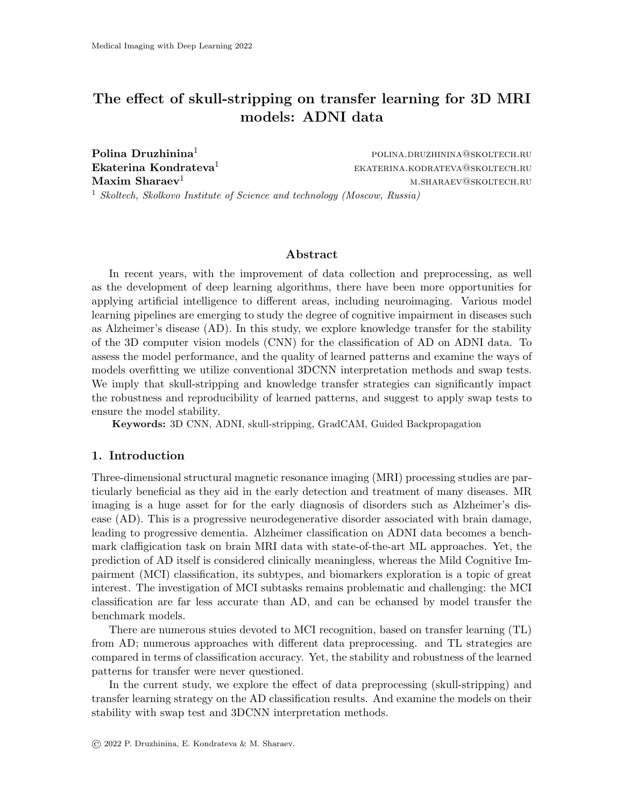# The effect of skull-stripping on transfer learning for 3D MRI models: ADNI data

**Polina Druzhinina**<sup>1</sup> polina.druzhinina@skoltech.ru **Ekaterina Kondrateva**<sup>1</sup> emission ekaterina.kodrateva@skoltech.ru  $\mathbf{Maxim}\ \mathbf{Sharaev}^1$  maxim  $\mathbf{Maxim}\ \mathbf{Sharaev}^1$  m.sharaev@skoltech.ru <sup>1</sup> Skoltech, Skolkovo Institute of Science and technology (Moscow, Russia)

#### Abstract

In recent years, with the improvement of data collection and preprocessing, as well as the development of deep learning algorithms, there have been more opportunities for applying artificial intelligence to different areas, including neuroimaging. Various model learning pipelines are emerging to study the degree of cognitive impairment in diseases such as Alzheimer's disease (AD). In this study, we explore knowledge transfer for the stability of the 3D computer vision models (CNN) for the classification of AD on ADNI data. To assess the model performance, and the quality of learned patterns and examine the ways of models overfitting we utilize conventional 3DCNN interpretation methods and swap tests. We imply that skull-stripping and knowledge transfer strategies can significantly impact the robustness and reproducibility of learned patterns, and suggest to apply swap tests to ensure the model stability.

Keywords: 3D CNN, ADNI, skull-stripping, GradCAM, Guided Backpropagation

## 1. Introduction

Three-dimensional structural magnetic resonance imaging (MRI) processing studies are particularly beneficial as they aid in the early detection and treatment of many diseases. MR imaging is a huge asset for for the early diagnosis of disorders such as Alzheimer's disease (AD). This is a progressive neurodegenerative disorder associated with brain damage, leading to progressive dementia. Alzheimer classification on ADNI data becomes a benchmark claffigication task on brain MRI data with state-of-the-art ML approaches. Yet, the prediction of AD itself is considered clinically meaningless, whereas the Mild Cognitive Impairment (MCI) classification, its subtypes, and biomarkers exploration is a topic of great interest. The investigation of MCI subtasks remains problematic and challenging: the MCI classification are far less accurate than AD, and can be echansed by model transfer the benchmark models.

There are numerous stuies devoted to MCI recognition, based on transfer learning (TL) from AD; numerous approaches with different data preprocessing. and TL strategies are compared in terms of classification accuracy. Yet, the stability and robustness of the learned patterns for transfer were never questioned.

In the current study, we explore the effect of data preprocessing (skull-stripping) and transfer learning strategy on the AD classification results. And examine the models on their stability with swap test and 3DCNN interpretation methods.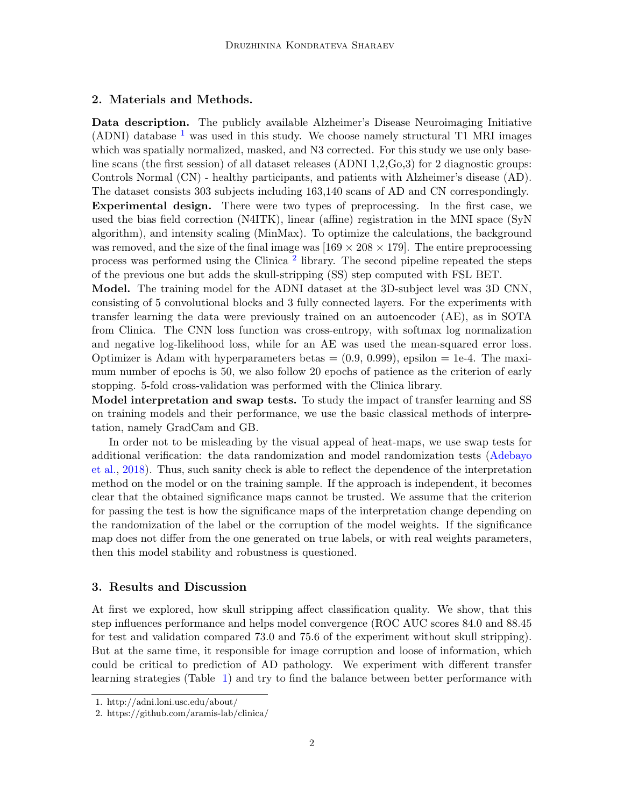#### 2. Materials and Methods.

Data description. The publicly available Alzheimer's Disease Neuroimaging Initiative (ADNI) database  $<sup>1</sup>$  $<sup>1</sup>$  $<sup>1</sup>$  was used in this study. We choose namely structural T1 MRI images</sup> which was spatially normalized, masked, and N3 corrected. For this study we use only baseline scans (the first session) of all dataset releases (ADNI 1,2,Go,3) for 2 diagnostic groups: Controls Normal (CN) - healthy participants, and patients with Alzheimer's disease (AD). The dataset consists 303 subjects including 163,140 scans of AD and CN correspondingly. Experimental design. There were two types of preprocessing. In the first case, we used the bias field correction (N4ITK), linear (affine) registration in the MNI space (SyN algorithm), and intensity scaling (MinMax). To optimize the calculations, the background was removed, and the size of the final image was  $[169 \times 208 \times 179]$ . The entire preprocessing process was performed using the Clinica<sup>[2](#page-1-1)</sup> library. The second pipeline repeated the steps of the previous one but adds the skull-stripping (SS) step computed with FSL BET.

Model. The training model for the ADNI dataset at the 3D-subject level was 3D CNN, consisting of 5 convolutional blocks and 3 fully connected layers. For the experiments with transfer learning the data were previously trained on an autoencoder (AE), as in SOTA from Clinica. The CNN loss function was cross-entropy, with softmax log normalization and negative log-likelihood loss, while for an AE was used the mean-squared error loss. Optimizer is Adam with hyperparameters betas  $=(0.9, 0.999)$ , epsilon  $= 1e^{-4}$ . The maximum number of epochs is 50, we also follow 20 epochs of patience as the criterion of early stopping. 5-fold cross-validation was performed with the Clinica library.

Model interpretation and swap tests. To study the impact of transfer learning and SS on training models and their performance, we use the basic classical methods of interpretation, namely GradCam and GB.

In order not to be misleading by the visual appeal of heat-maps, we use swap tests for additional verification: the data randomization and model randomization tests [\(Adebayo](#page-2-0) [et al.,](#page-2-0) [2018\)](#page-2-0). Thus, such sanity check is able to reflect the dependence of the interpretation method on the model or on the training sample. If the approach is independent, it becomes clear that the obtained significance maps cannot be trusted. We assume that the criterion for passing the test is how the significance maps of the interpretation change depending on the randomization of the label or the corruption of the model weights. If the significance map does not differ from the one generated on true labels, or with real weights parameters, then this model stability and robustness is questioned.

### 3. Results and Discussion

At first we explored, how skull stripping affect classification quality. We show, that this step influences performance and helps model convergence (ROC AUC scores 84.0 and 88.45 for test and validation compared 73.0 and 75.6 of the experiment without skull stripping). But at the same time, it responsible for image corruption and loose of information, which could be critical to prediction of AD pathology. We experiment with different transfer learning strategies (Table [1\)](#page-2-1) and try to find the balance between better performance with

<span id="page-1-0"></span><sup>1.</sup> http://adni.loni.usc.edu/about/

<span id="page-1-1"></span><sup>2.</sup> https://github.com/aramis-lab/clinica/